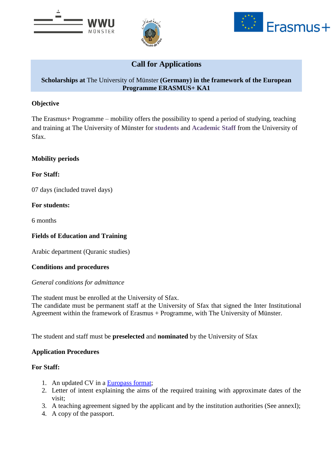





# **Call for Applications**

## **Scholarships at** The University of Münster **(Germany) in the framework of the European Programme ERASMUS+ KA1**

## **Objective**

The Erasmus+ Programme – mobility offers the possibility to spend a period of studying, teaching and training at The University of Münster for **students** and **Academic Staff** from the University of Sfax.

### **Mobility periods**

**For Staff:**

07 days (included travel days)

## **For students:**

6 months

## **Fields of Education and Training**

Arabic department (Quranic studies)

### **Conditions and procedures**

### *General conditions for admittance*

The student must be enrolled at the University of Sfax.

The candidate must be permanent staff at the University of Sfax that signed the Inter Institutional Agreement within the framework of Erasmus + Programme, with The University of Münster.

The student and staff must be **preselected** and **nominated** by the University of Sfax

### **Application Procedures**

### **For Staff:**

- 1. An updated CV in a [Europass format;](http://europass.cedefop.europa.eu/europass/home/hornav/Downloads/EuropassCV/CVTemplate.csp)
- 2. Letter of intent explaining the aims of the required training with approximate dates of the visit;
- 3. A teaching agreement signed by the applicant and by the institution authorities (See annexI);
- 4. A copy of the passport.